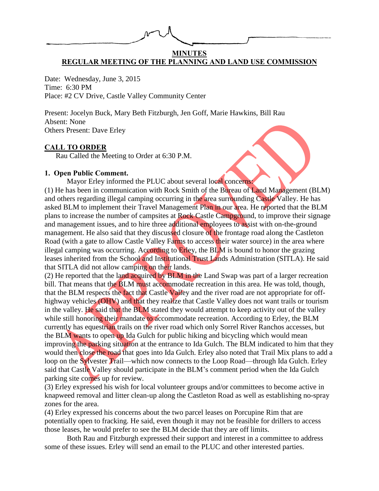# **MINUTES REGULAR MEETING OF THE PLANNING AND LAND USE COMMISSION**

Date: Wednesday, June 3, 2015 Time: 6:30 PM Place: #2 CV Drive, Castle Valley Community Center

Present: Jocelyn Buck, Mary Beth Fitzburgh, Jen Goff, Marie Hawkins, Bill Rau Absent: None Others Present: Dave Erley

## **CALL TO ORDER**

Rau Called the Meeting to Order at 6:30 P.M.

## **1. Open Public Comment.**

Mayor Erley informed the PLUC about several local concerns:

(1) He has been in communication with Rock Smith of the Bureau of Land Management (BLM) and others regarding illegal camping occurring in the area surrounding Castle Valley. He has asked BLM to implement their Travel Management Plan in our area. He reported that the BLM plans to increase the number of campsites at Rock Castle Campground, to improve their signage and management issues, and to hire three additional employees to assist with on-the-ground management. He also said that they discussed closure of the frontage road along the Castleton Road (with a gate to allow Castle Valley Farms to access their water source) in the area where illegal camping was occurring. According to Erley, the BLM is bound to honor the grazing leases inherited from the School and Institutional Trust Lands Administration (SITLA). He said that SITLA did not allow camping on their lands.

(2) He reported that the land acquired by BLM in the Land Swap was part of a larger recreation bill. That means that the BLM must accommodate recreation in this area. He was told, though, that the BLM respects the fact that Castle Valley and the river road are not appropriate for offhighway vehicles (OHV) and that they realize that Castle Valley does not want trails or tourism in the valley. He said that the BLM stated they would attempt to keep activity out of the valley while still honoring their mandate to accommodate recreation. According to Erley, the BLM currently has equestrian trails on the river road which only Sorrel River Ranchos accesses, but the BLM wants to open up Ida Gulch for public hiking and bicycling which would mean improving the parking situation at the entrance to Ida Gulch. The BLM indicated to him that they would then close the road that goes into Ida Gulch. Erley also noted that Trail Mix plans to add a loop on the Sylvester Trail—which now connects to the Loop Road—through Ida Gulch. Erley said that Castle Valley should participate in the BLM's comment period when the Ida Gulch parking site comes up for review.

(3) Erley expressed his wish for local volunteer groups and/or committees to become active in knapweed removal and litter clean-up along the Castleton Road as well as establishing no-spray zones for the area.

(4) Erley expressed his concerns about the two parcel leases on Porcupine Rim that are potentially open to fracking. He said, even though it may not be feasible for drillers to access those leases, he would prefer to see the BLM decide that they are off limits.

Both Rau and Fitzburgh expressed their support and interest in a committee to address some of these issues. Erley will send an email to the PLUC and other interested parties.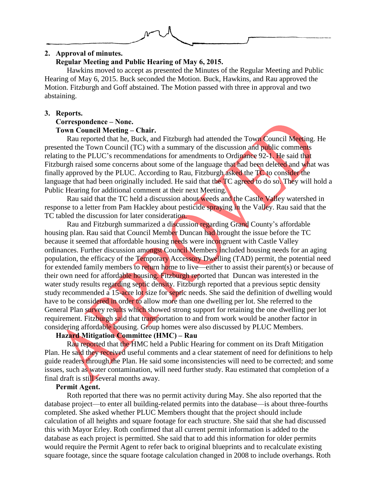

#### **2. Approval of minutes. Regular Meeting and Public Hearing of May 6, 2015.**

Hawkins moved to accept as presented the Minutes of the Regular Meeting and Public Hearing of May 6, 2015. Buck seconded the Motion. Buck, Hawkins, and Rau approved the Motion. Fitzburgh and Goff abstained. The Motion passed with three in approval and two abstaining.

### **3. Reports.**

### **Correspondence – None. Town Council Meeting – Chair.**

Rau reported that he, Buck, and Fitzburgh had attended the Town Council Meeting. He presented the Town Council (TC) with a summary of the discussion and public comments relating to the PLUC's recommendations for amendments to Ordinance 92-1. He said that Fitzburgh raised some concerns about some of the language that had been deleted and what was finally approved by the PLUC. According to Rau, Fitzburgh asked the TC to consider the language that had been originally included. He said that the TC agreed to do so. They will hold a Public Hearing for additional comment at their next Meeting.

Rau said that the TC held a discussion about weeds and the Castle Valley watershed in response to a letter from Pam Hackley about pesticide spraying in the Valley. Rau said that the TC tabled the discussion for later consideration.

Rau and Fitzburgh summarized a discussion regarding Grand County's affordable housing plan. Rau said that Council Member Duncan had brought the issue before the TC because it seemed that affordable housing needs were incongruent with Castle Valley ordinances. Further discussion amongst Council Members included housing needs for an aging population, the efficacy of the Temporary Accessory Dwelling (TAD) permit, the potential need for extended family members to return home to live—either to assist their parent(s) or because of their own need for affordable housing. Fitzburgh reported that Duncan was interested in the water study results regarding septic density. Fitzburgh reported that a previous septic density study recommended a 15-acre lot size for septic needs. She said the definition of dwelling would have to be considered in order to allow more than one dwelling per lot. She referred to the General Plan survey results which showed strong support for retaining the one dwelling per lot requirement. Fitzburgh said that transportation to and from work would be another factor in considering affordable housing. Group homes were also discussed by PLUC Members.

# **Hazard Mitigation Committee (HMC) – Rau**

Rau reported that the HMC held a Public Hearing for comment on its Draft Mitigation Plan. He said they received useful comments and a clear statement of need for definitions to help guide readers through the Plan. He said some inconsistencies will need to be corrected; and some issues, such as water contamination, will need further study. Rau estimated that completion of a final draft is still several months away.

## **Permit Agent.**

Roth reported that there was no permit activity during May. She also reported that the database project—to enter all building-related permits into the database—is about three-fourths completed. She asked whether PLUC Members thought that the project should include calculation of all heights and square footage for each structure. She said that she had discussed this with Mayor Erley. Roth confirmed that all current permit information is added to the database as each project is permitted. She said that to add this information for older permits would require the Permit Agent to refer back to original blueprints and to recalculate existing square footage, since the square footage calculation changed in 2008 to include overhangs. Roth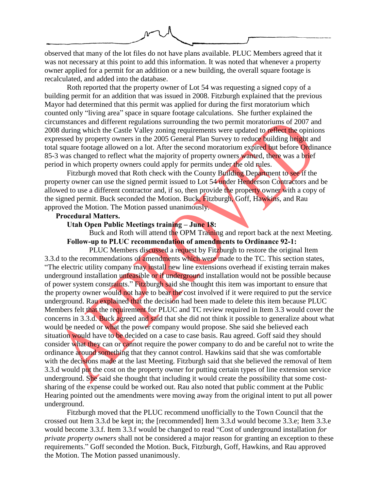

observed that many of the lot files do not have plans available. PLUC Members agreed that it was not necessary at this point to add this information. It was noted that whenever a property owner applied for a permit for an addition or a new building, the overall square footage is recalculated, and added into the database.

Roth reported that the property owner of Lot 54 was requesting a signed copy of a building permit for an addition that was issued in 2008. Fitzburgh explained that the previous Mayor had determined that this permit was applied for during the first moratorium which counted only "living area" space in square footage calculations. She further explained the circumstances and different regulations surrounding the two permit moratoriums of 2007 and 2008 during which the Castle Valley zoning requirements were updated to reflect the opinions expressed by property owners in the 2005 General Plan Survey to reduce building height and total square footage allowed on a lot. After the second moratorium expired but before Ordinance 85-3 was changed to reflect what the majority of property owners wanted, there was a brief period in which property owners could apply for permits under the old rules.

Fitzburgh moved that Roth check with the County Building Department to see if the property owner can use the signed permit issued to Lot 54 under Henderson Contractors and be allowed to use a different contractor and, if so, then provide the property owner with a copy of the signed permit. Buck seconded the Motion. Buck, Fitzburgh, Goff, Hawkins, and Rau approved the Motion. The Motion passed unanimously.

# **Procedural Matters.**

#### **Utah Open Public Meetings training – June 18:**

Buck and Roth will attend the OPM Training and report back at the next Meeting. **Follow-up to PLUC recommendation of amendments to Ordinance 92-1:**

PLUC Members discussed a request by Fitzburgh to restore the original Item 3.3.d to the recommendations of amendments which were made to the TC. This section states, "The electric utility company may install new line extensions overhead if existing terrain makes underground installation unfeasible or if underground installation would not be possible because of power system constraints." Fitzburgh said she thought this item was important to ensure that the property owner would not have to bear the cost involved if it were required to put the service underground. Rau explained that the decision had been made to delete this item because PLUC Members felt that the requirement for PLUC and TC review required in Item 3.3 would cover the concerns in 3.3.d. Buck agreed and said that she did not think it possible to generalize about what would be needed or what the power company would propose. She said she believed each situation would have to be decided on a case to case basis. Rau agreed. Goff said they should consider what they can or cannot require the power company to do and be careful not to write the ordinance around something that they cannot control. Hawkins said that she was comfortable with the decisions made at the last Meeting. Fitzburgh said that she believed the removal of Item 3.3.d would put the cost on the property owner for putting certain types of line extension service underground. She said she thought that including it would create the possibility that some costsharing of the expense could be worked out. Rau also noted that public comment at the Public Hearing pointed out the amendments were moving away from the original intent to put all power underground.

Fitzburgh moved that the PLUC recommend unofficially to the Town Council that the crossed out Item 3.3.d be kept in; the [recommended] Item 3.3.d would become 3.3.e; Item 3.3.e would become 3.3.f. Item 3.3.f would be changed to read "Cost of underground installation *for private property owners* shall not be considered a major reason for granting an exception to these requirements." Goff seconded the Motion. Buck, Fitzburgh, Goff, Hawkins, and Rau approved the Motion. The Motion passed unanimously.